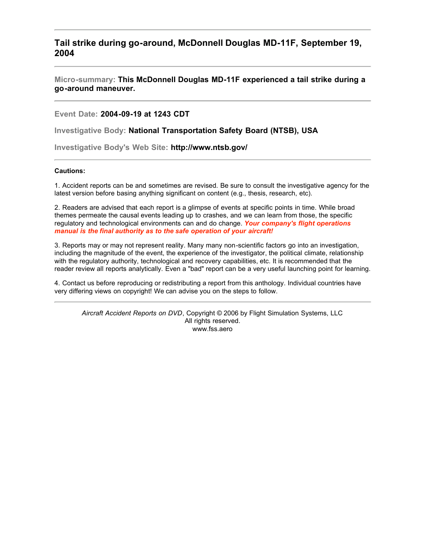**Tail strike during go-around, McDonnell Douglas MD-11F, September 19, 2004**

**Micro-summary: This McDonnell Douglas MD-11F experienced a tail strike during a go-around maneuver.**

**Event Date: 2004-09-19 at 1243 CDT**

**Investigative Body: National Transportation Safety Board (NTSB), USA**

**Investigative Body's Web Site: http://www.ntsb.gov/**

# **Cautions:**

1. Accident reports can be and sometimes are revised. Be sure to consult the investigative agency for the latest version before basing anything significant on content (e.g., thesis, research, etc).

2. Readers are advised that each report is a glimpse of events at specific points in time. While broad themes permeate the causal events leading up to crashes, and we can learn from those, the specific regulatory and technological environments can and do change. *Your company's flight operations manual is the final authority as to the safe operation of your aircraft!*

3. Reports may or may not represent reality. Many many non-scientific factors go into an investigation, including the magnitude of the event, the experience of the investigator, the political climate, relationship with the regulatory authority, technological and recovery capabilities, etc. It is recommended that the reader review all reports analytically. Even a "bad" report can be a very useful launching point for learning.

4. Contact us before reproducing or redistributing a report from this anthology. Individual countries have very differing views on copyright! We can advise you on the steps to follow.

*Aircraft Accident Reports on DVD*, Copyright © 2006 by Flight Simulation Systems, LLC All rights reserved. www.fss.aero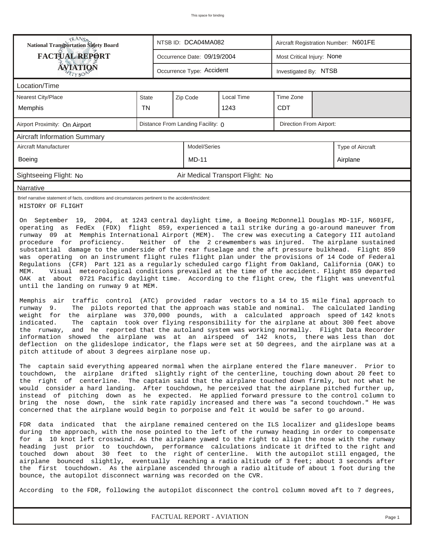| <b>National Transportation Safety Board</b>                                                                                                                                                                                                                                                                                                                                                                                                                                                                                                                                                                                                                                                                                                                                                                                                                                                                                                                                                                                                                                                                                                                                                                                                                                                                                                                                                                                                                                                                                                          |           |  | NTSB ID: DCA04MA082               |                                  | Aircraft Registration Number: N601FE |  |                  |  |  |
|------------------------------------------------------------------------------------------------------------------------------------------------------------------------------------------------------------------------------------------------------------------------------------------------------------------------------------------------------------------------------------------------------------------------------------------------------------------------------------------------------------------------------------------------------------------------------------------------------------------------------------------------------------------------------------------------------------------------------------------------------------------------------------------------------------------------------------------------------------------------------------------------------------------------------------------------------------------------------------------------------------------------------------------------------------------------------------------------------------------------------------------------------------------------------------------------------------------------------------------------------------------------------------------------------------------------------------------------------------------------------------------------------------------------------------------------------------------------------------------------------------------------------------------------------|-----------|--|-----------------------------------|----------------------------------|--------------------------------------|--|------------------|--|--|
| <b>FACTUAL REPORT</b>                                                                                                                                                                                                                                                                                                                                                                                                                                                                                                                                                                                                                                                                                                                                                                                                                                                                                                                                                                                                                                                                                                                                                                                                                                                                                                                                                                                                                                                                                                                                |           |  | Occurrence Date: 09/19/2004       |                                  | Most Critical Injury: None           |  |                  |  |  |
| <b>ÁVIATIQÑ</b>                                                                                                                                                                                                                                                                                                                                                                                                                                                                                                                                                                                                                                                                                                                                                                                                                                                                                                                                                                                                                                                                                                                                                                                                                                                                                                                                                                                                                                                                                                                                      |           |  | Occurrence Type: Accident         |                                  | Investigated By: NTSB                |  |                  |  |  |
| Location/Time                                                                                                                                                                                                                                                                                                                                                                                                                                                                                                                                                                                                                                                                                                                                                                                                                                                                                                                                                                                                                                                                                                                                                                                                                                                                                                                                                                                                                                                                                                                                        |           |  |                                   |                                  |                                      |  |                  |  |  |
| <b>Nearest City/Place</b>                                                                                                                                                                                                                                                                                                                                                                                                                                                                                                                                                                                                                                                                                                                                                                                                                                                                                                                                                                                                                                                                                                                                                                                                                                                                                                                                                                                                                                                                                                                            | State     |  | Zip Code                          | Local Time                       | Time Zone                            |  |                  |  |  |
| Memphis                                                                                                                                                                                                                                                                                                                                                                                                                                                                                                                                                                                                                                                                                                                                                                                                                                                                                                                                                                                                                                                                                                                                                                                                                                                                                                                                                                                                                                                                                                                                              | <b>TN</b> |  |                                   | 1243                             | <b>CDT</b>                           |  |                  |  |  |
| Airport Proximity: On Airport                                                                                                                                                                                                                                                                                                                                                                                                                                                                                                                                                                                                                                                                                                                                                                                                                                                                                                                                                                                                                                                                                                                                                                                                                                                                                                                                                                                                                                                                                                                        |           |  | Distance From Landing Facility: 0 |                                  | Direction From Airport:              |  |                  |  |  |
| <b>Aircraft Information Summary</b>                                                                                                                                                                                                                                                                                                                                                                                                                                                                                                                                                                                                                                                                                                                                                                                                                                                                                                                                                                                                                                                                                                                                                                                                                                                                                                                                                                                                                                                                                                                  |           |  |                                   |                                  |                                      |  |                  |  |  |
| <b>Aircraft Manufacturer</b>                                                                                                                                                                                                                                                                                                                                                                                                                                                                                                                                                                                                                                                                                                                                                                                                                                                                                                                                                                                                                                                                                                                                                                                                                                                                                                                                                                                                                                                                                                                         |           |  | Model/Series                      |                                  |                                      |  | Type of Aircraft |  |  |
| Boeing                                                                                                                                                                                                                                                                                                                                                                                                                                                                                                                                                                                                                                                                                                                                                                                                                                                                                                                                                                                                                                                                                                                                                                                                                                                                                                                                                                                                                                                                                                                                               |           |  | <b>MD-11</b>                      |                                  |                                      |  | Airplane         |  |  |
| Sightseeing Flight: No                                                                                                                                                                                                                                                                                                                                                                                                                                                                                                                                                                                                                                                                                                                                                                                                                                                                                                                                                                                                                                                                                                                                                                                                                                                                                                                                                                                                                                                                                                                               |           |  |                                   | Air Medical Transport Flight: No |                                      |  |                  |  |  |
| Narrative                                                                                                                                                                                                                                                                                                                                                                                                                                                                                                                                                                                                                                                                                                                                                                                                                                                                                                                                                                                                                                                                                                                                                                                                                                                                                                                                                                                                                                                                                                                                            |           |  |                                   |                                  |                                      |  |                  |  |  |
| Brief narrative statement of facts, conditions and circumstances pertinent to the accident/incident:<br>HISTORY OF FLIGHT                                                                                                                                                                                                                                                                                                                                                                                                                                                                                                                                                                                                                                                                                                                                                                                                                                                                                                                                                                                                                                                                                                                                                                                                                                                                                                                                                                                                                            |           |  |                                   |                                  |                                      |  |                  |  |  |
| runway 09 at Memphis International Airport (MEM). The crew was executing a Category III autoland<br>Neither of the 2 crewmembers was injured. The airplane sustained<br>procedure for proficiency.<br>substantial damage to the underside of the rear fuselage and the aft pressure bulkhead. Flight 859<br>was operating on an instrument flight rules flight plan under the provisions of 14 Code of Federal<br>Regulations (CFR) Part 121 as a regularly scheduled cargo flight from Oakland, California (OAK) to<br>Visual meteorological conditions prevailed at the time of the accident. Flight 859 departed<br>MEM.<br>OAK at about 0721 Pacific daylight time. According to the flight crew, the flight was uneventful<br>until the landing on runway 9 at MEM.<br>Memphis air traffic control (ATC) provided radar vectors to a 14 to 15 mile final approach to<br>The pilots reported that the approach was stable and nominal. The calculated landing<br>runway 9.<br>the airplane was 370,000 pounds, with a calculated approach speed of 142 knots<br>weight for<br>The captain took over flying responsibility for the airplane at about 300 feet above<br>indicated.<br>and he reported that the autoland system was working normally. Flight Data Recorder<br>the runway,<br>information showed the airplane was at an airspeed of 142 knots, there was less than dot<br>deflection on the glideslope indicator, the flaps were set at 50 degrees, and the airplane was at a<br>pitch attitude of about 3 degrees airplane nose up. |           |  |                                   |                                  |                                      |  |                  |  |  |
| The captain said everything appeared normal when the airplane entered the flare maneuver. Prior to<br>touchdown, the airplane drifted slightly right of the centerline, touching down about 20 feet to<br>the right of centerline. The captain said that the airplane touched down firmly, but not what he<br>would consider a hard landing. After touchdown, he perceived that the airplane pitched further up,<br>instead of pitching down as he expected. He applied forward pressure to the control column to<br>bring the nose down, the sink rate rapidly increased and there was "a second touchdown." He was<br>concerned that the airplane would begin to porpoise and felt it would be safer to go around.                                                                                                                                                                                                                                                                                                                                                                                                                                                                                                                                                                                                                                                                                                                                                                                                                                 |           |  |                                   |                                  |                                      |  |                  |  |  |
| FDR data indicated that the airplane remained centered on the ILS localizer and glideslope beams<br>during the approach, with the nose pointed to the left of the runway heading in order to compensate<br>for a 10 knot left crosswind. As the airplane yawed to the right to align the nose with the runway<br>heading just prior to touchdown, performance calculations indicate it drifted to the right and<br>touched down about 30 feet to the right of centerline. With the autopilot still engaged, the<br>airplane bounced slightly, eventually reaching a radio altitude of 3 feet; about 3 seconds after<br>the first touchdown. As the airplane ascended through a radio altitude of about 1 foot during the<br>bounce, the autopilot disconnect warning was recorded on the CVR.<br>According to the FDR, following the autopilot disconnect the control column moved aft to 7 degrees,                                                                                                                                                                                                                                                                                                                                                                                                                                                                                                                                                                                                                                                 |           |  |                                   |                                  |                                      |  |                  |  |  |
|                                                                                                                                                                                                                                                                                                                                                                                                                                                                                                                                                                                                                                                                                                                                                                                                                                                                                                                                                                                                                                                                                                                                                                                                                                                                                                                                                                                                                                                                                                                                                      |           |  |                                   |                                  |                                      |  |                  |  |  |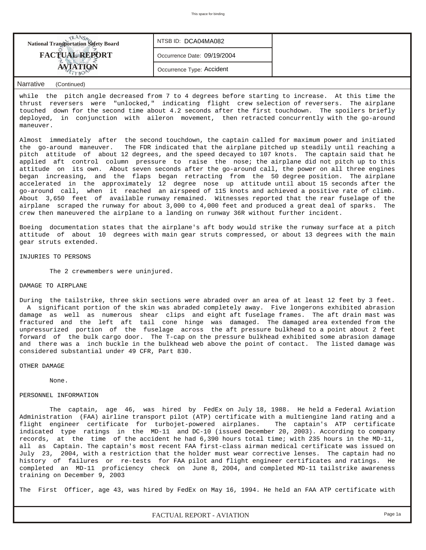| <b>National Transportation Safety Board</b> | NTSB ID: DCA04MA082         |  |
|---------------------------------------------|-----------------------------|--|
| <b>FACTUAL REPORT</b>                       | Occurrence Date: 09/19/2004 |  |
|                                             | Occurrence Type: Accident   |  |
|                                             |                             |  |

while the pitch angle decreased from 7 to 4 degrees before starting to increase. At this time the thrust reversers were "unlocked," indicating flight crew selection of reversers. The airplane touched down for the second time about 4.2 seconds after the first touchdown. The spoilers briefly deployed, in conjunction with aileron movement, then retracted concurrently with the go-around maneuver.

Almost immediately after the second touchdown, the captain called for maximum power and initiated the go-around maneuver. The FDR indicated that the airplane pitched up steadily until reaching a pitch attitude of about 12 degrees, and the speed decayed to 107 knots. The captain said that he applied aft control column pressure to raise the nose; the airplane did not pitch up to this attitude on its own. About seven seconds after the go-around call, the power on all three engines began increasing, and the flaps began retracting from the 50 degree position. The airplane accelerated in the approximately 12 degree nose up attitude until about 15 seconds after the go-around call, when it reached an airspeed of 115 knots and achieved a positive rate of climb. About 3,650 feet of available runway remained. Witnesses reported that the rear fuselage of the airplane scraped the runway for about 3,000 to 4,000 feet and produced a great deal of sparks. The crew then maneuvered the airplane to a landing on runway 36R without further incident.

Boeing documentation states that the airplane's aft body would strike the runway surface at a pitch attitude of about 10 degrees with main gear struts compressed, or about 13 degrees with the main gear struts extended.

INJURIES TO PERSONS

The 2 crewmembers were uninjured.

# DAMAGE TO AIRPLANE

During the tailstrike, three skin sections were abraded over an area of at least 12 feet by 3 feet. A significant portion of the skin was abraded completely away. Five longerons exhibited abrasion damage as well as numerous shear clips and eight aft fuselage frames. The aft drain mast was fractured and the left aft tail cone hinge was damaged. The damaged area extended from the unpressurized portion of the fuselage across the aft pressure bulkhead to a point about 2 feet forward of the bulk cargo door. The T-cap on the pressure bulkhead exhibited some abrasion damage and there was a inch buckle in the bulkhead web above the point of contact. The listed damage was considered substantial under 49 CFR, Part 830.

#### OTHER DAMAGE

None.

# PERSONNEL INFORMATION

 The captain, age 46, was hired by FedEx on July 18, 1988. He held a Federal Aviation Administration (FAA) airline transport pilot (ATP) certificate with a multiengine land rating and a flight engineer certificate for turbojet-powered airplanes. The captain's ATP certificate indicated type ratings in the MD-11 and DC-10 (issued December 20, 2003). According to company records, at the time of the accident he had 6,390 hours total time; with 235 hours in the MD-11, all as Captain. The captain's most recent FAA first-class airman medical certificate was issued on July 23, 2004, with a restriction that the holder must wear corrective lenses. The captain had no history of failures or re-tests for FAA pilot and flight engineer certificates and ratings. He completed an MD-11 proficiency check on June 8, 2004, and completed MD-11 tailstrike awareness training on December 9, 2003

The First Officer, age 43, was hired by FedEx on May 16, 1994. He held an FAA ATP certificate with

*FACTUAL REPORT - AVIATION Page 1a*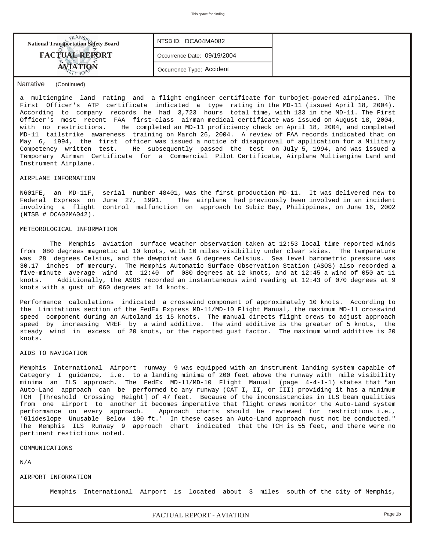| <b>National Transportation Safety Board</b> | NTSB ID: DCA04MA082         |  |
|---------------------------------------------|-----------------------------|--|
| <b>FACTUAL REPORT</b>                       | Occurrence Date: 09/19/2004 |  |
|                                             | Occurrence Type: Accident   |  |

a multiengine land rating and a flight engineer certificate for turbojet-powered airplanes. The First Officer's ATP certificate indicated a type rating in the MD-11 (issued April 18, 2004). According to company records he had 3,723 hours total time, with 133 in the MD-11. The First Officer's most recent FAA first-class airman medical certificate was issued on August 18, 2004, with no restrictions. He completed an MD-11 proficiency check on April 18, 2004, and completed MD-11 tailstrike awareness training on March 26, 2004. A review of FAA records indicated that on May 6, 1994, the first officer was issued a notice of disapproval of application for a Military Competency written test. He subsequently passed the test on July 5, 1994, and was issued a Temporary Airman Certificate for a Commercial Pilot Certificate, Airplane Multiengine Land and Instrument Airplane.

### AIRPLANE INFORMATION

N601FE, an MD-11F, serial number 48401, was the first production MD-11. It was delivered new to Federal Express on June 27, 1991. The airplane had previously been involved in an incident involving a flight control malfunction on approach to Subic Bay, Philippines, on June 16, 2002 (NTSB # DCA02MA042).

### METEOROLOGICAL INFORMATION

 The Memphis aviation surface weather observation taken at 12:53 local time reported winds from 080 degrees magnetic at 10 knots, with 10 miles visibility under clear skies. The temperature was 28 degrees Celsius, and the dewpoint was 6 degrees Celsius. Sea level barometric pressure was 30.17 inches of mercury. The Memphis Automatic Surface Observation Station (ASOS) also recorded a five-minute average wind at 12:40 of 080 degrees at 12 knots, and at 12:45 a wind of 050 at 11 knots. Additionally, the ASOS recorded an instantaneous wind reading at 12:43 of 070 degrees at 9 knots with a gust of 060 degrees at 14 knots.

Performance calculations indicated a crosswind component of approximately 10 knots. According to the Limitations section of the FedEx Express MD-11/MD-10 Flight Manual, the maximum MD-11 crosswind speed component during an Autoland is 15 knots. The manual directs flight crews to adjust approach speed by increasing VREF by a wind additive. The wind additive is the greater of 5 knots, the steady wind in excess of 20 knots, or the reported gust factor. The maximum wind additive is 20 knots.

#### AIDS TO NAVIGATION

Memphis International Airport runway 9 was equipped with an instrument landing system capable of Category I guidance, i.e. to a landing minima of 200 feet above the runway with mile visibility minima an ILS approach. The FedEx MD-11/MD-10 Flight Manual (page 4-4-1-1) states that "an Auto-Land approach can be performed to any runway (CAT I, II, or III) providing it has a minimum TCH [Threshold Crossing Height] of 47 feet. Because of the inconsistencies in ILS beam qualities from one airport to another it becomes imperative that flight crews monitor the Auto-Land system performance on every approach. Approach charts should be reviewed for restrictions i.e., 'Glideslope Unusable Below 100 ft.' In these cases an Auto-Land approach must not be conducted." The Memphis ILS Runway 9 approach chart indicated that the TCH is 55 feet, and there were no pertinent restictions noted.

COMMUNICATIONS

N/A

### AIRPORT INFORMATION

Memphis International Airport is located about 3 miles south of the city of Memphis,

*FACTUAL REPORT - AVIATION Page 1b*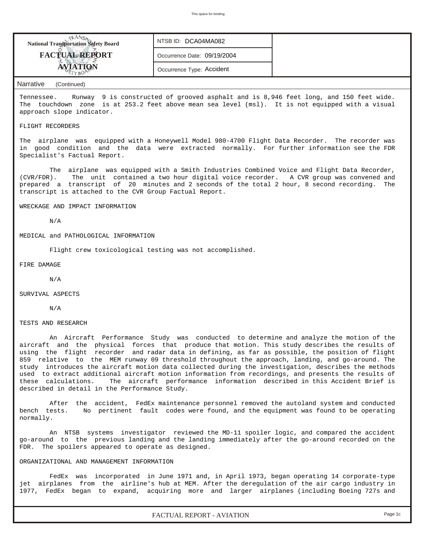| <b>National Transportation Safety Board</b> | NTSB ID: DCA04MA082         |  |
|---------------------------------------------|-----------------------------|--|
| <b>FACTUAL REPORT</b>                       | Occurrence Date: 09/19/2004 |  |
|                                             | Occurrence Type: Accident   |  |

Tennessee. Runway 9 is constructed of grooved asphalt and is 8,946 feet long, and 150 feet wide. The touchdown zone is at 253.2 feet above mean sea level (msl). It is not equipped with a visual approach slope indicator.

### FLIGHT RECORDERS

The airplane was equipped with a Honeywell Model 980-4700 Flight Data Recorder. The recorder was in good condition and the data were extracted normally. For further information see the FDR Specialist's Factual Report.

 The airplane was equipped with a Smith Industries Combined Voice and Flight Data Recorder, (CVR/FDR). The unit contained a two hour digital voice recorder. A CVR group was convened and prepared a transcript of 20 minutes and 2 seconds of the total 2 hour, 8 second recording. The transcript is attached to the CVR Group Factual Report.

WRECKAGE AND IMPACT INFORMATION

N/A

MEDICAL and PATHOLOGICAL INFORMATION

Flight crew toxicological testing was not accomplished.

FIRE DAMAGE

N/A

SURVIVAL ASPECTS

N/A

TESTS AND RESEARCH

 An Aircraft Performance Study was conducted to determine and analyze the motion of the aircraft and the physical forces that produce that motion. This study describes the results of using the flight recorder and radar data in defining, as far as possible, the position of flight 859 relative to the MEM runway 09 threshold throughout the approach, landing, and go-around. The study introduces the aircraft motion data collected during the investigation, describes the methods used to extract additional aircraft motion information from recordings, and presents the results of these calculations. The aircraft performance information described in this Accident Brief is described in detail in the Performance Study.

 After the accident, FedEx maintenance personnel removed the autoland system and conducted bench tests. No pertinent fault codes were found, and the equipment was found to be operating normally.

 An NTSB systems investigator reviewed the MD-11 spoiler logic, and compared the accident go-around to the previous landing and the landing immediately after the go-around recorded on the FDR. The spoilers appeared to operate as designed.

### ORGANIZATIONAL AND MANAGEMENT INFORMATION

 FedEx was incorporated in June 1971 and, in April 1973, began operating 14 corporate-type jet airplanes from the airline's hub at MEM. After the deregulation of the air cargo industry in 1977, FedEx began to expand, acquiring more and larger airplanes (including Boeing 727s and

*FACTUAL REPORT - AVIATION Page 1c*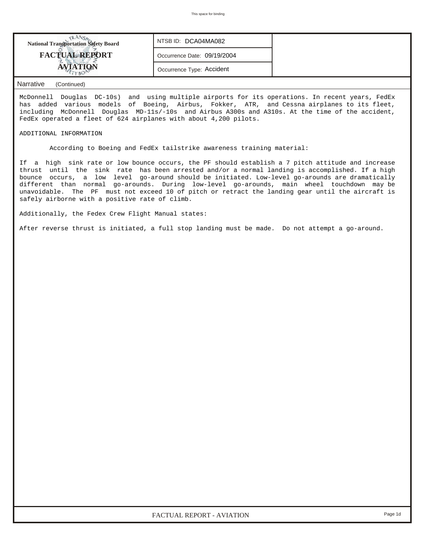| <b>National Transportation Safety Board</b> | NTSB ID: DCA04MA082         |  |
|---------------------------------------------|-----------------------------|--|
| <b>FACTUAL REPORT</b>                       | Occurrence Date: 09/19/2004 |  |
| <b>ETYRO!</b>                               | Occurrence Type: Accident   |  |

McDonnell Douglas DC-10s) and using multiple airports for its operations. In recent years, FedEx has added various models of Boeing, Airbus, Fokker, ATR, and Cessna airplanes to its fleet, including McDonnell Douglas MD-11s/-10s and Airbus A300s and A310s. At the time of the accident, FedEx operated a fleet of 624 airplanes with about 4,200 pilots.

### ADDITIONAL INFORMATION

According to Boeing and FedEx tailstrike awareness training material:

If a high sink rate or low bounce occurs, the PF should establish a 7 pitch attitude and increase thrust until the sink rate has been arrested and/or a normal landing is accomplished. If a high bounce occurs, a low level go-around should be initiated. Low-level go-arounds are dramatically different than normal go-arounds. During low-level go-arounds, main wheel touchdown may be unavoidable. The PF must not exceed 10 of pitch or retract the landing gear until the aircraft is safely airborne with a positive rate of climb.

Additionally, the Fedex Crew Flight Manual states:

After reverse thrust is initiated, a full stop landing must be made. Do not attempt a go-around.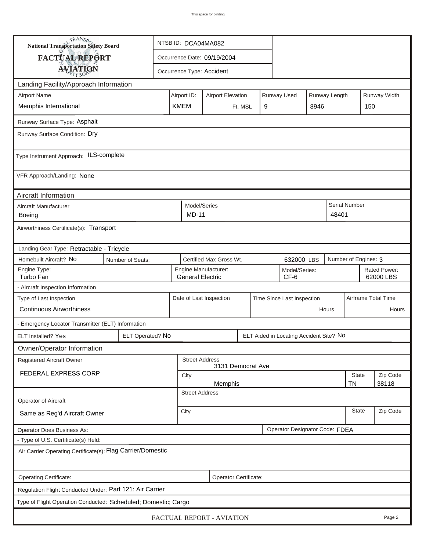| TRANSA<br>National Transportation Safety Board                 |                  | NTSB ID: DCA04MA082         |                                                         |                              |                                            |         |   |                                         |                     |               |                      |                           |
|----------------------------------------------------------------|------------------|-----------------------------|---------------------------------------------------------|------------------------------|--------------------------------------------|---------|---|-----------------------------------------|---------------------|---------------|----------------------|---------------------------|
| FACTUAL REPORT                                                 |                  | Occurrence Date: 09/19/2004 |                                                         |                              |                                            |         |   |                                         |                     |               |                      |                           |
| <b>AVIATION</b>                                                |                  |                             |                                                         |                              | Occurrence Type: Accident                  |         |   |                                         |                     |               |                      |                           |
| Landing Facility/Approach Information                          |                  |                             |                                                         |                              |                                            |         |   |                                         |                     |               |                      |                           |
| <b>Airport Name</b>                                            |                  |                             | Airport ID:                                             |                              | <b>Airport Elevation</b>                   |         |   | Runway Used                             |                     | Runway Length |                      | Runway Width              |
| Memphis International                                          |                  |                             | <b>KMEM</b>                                             |                              |                                            | Ft. MSL | 9 |                                         | 8946                |               | 150                  |                           |
| Runway Surface Type: Asphalt                                   |                  |                             |                                                         |                              |                                            |         |   |                                         |                     |               |                      |                           |
| Runway Surface Condition: Dry                                  |                  |                             |                                                         |                              |                                            |         |   |                                         |                     |               |                      |                           |
| Type Instrument Approach: ILS-complete                         |                  |                             |                                                         |                              |                                            |         |   |                                         |                     |               |                      |                           |
| VFR Approach/Landing: None                                     |                  |                             |                                                         |                              |                                            |         |   |                                         |                     |               |                      |                           |
| Aircraft Information                                           |                  |                             |                                                         |                              |                                            |         |   |                                         |                     |               |                      |                           |
| Aircraft Manufacturer<br>Boeing                                |                  |                             |                                                         | Model/Series<br><b>MD-11</b> |                                            |         |   |                                         |                     | 48401         | <b>Serial Number</b> |                           |
| Airworthiness Certificate(s): Transport                        |                  |                             |                                                         |                              |                                            |         |   |                                         |                     |               |                      |                           |
| Landing Gear Type: Retractable - Tricycle                      |                  |                             |                                                         |                              |                                            |         |   |                                         |                     |               |                      |                           |
| Homebuilt Aircraft? No                                         | Number of Seats: |                             |                                                         |                              | Certified Max Gross Wt.                    |         |   | 632000 LBS                              |                     |               | Number of Engines: 3 |                           |
| Engine Type:<br>Turbo Fan                                      |                  |                             | Engine Manufacturer:<br><b>General Electric</b><br>CF-6 |                              |                                            |         |   | Model/Series:                           |                     |               |                      | Rated Power:<br>62000 LBS |
| - Aircraft Inspection Information                              |                  |                             |                                                         |                              |                                            |         |   |                                         |                     |               |                      |                           |
| Type of Last Inspection                                        |                  |                             | Date of Last Inspection<br>Time Since Last Inspection   |                              |                                            |         |   |                                         | Airframe Total Time |               |                      |                           |
| <b>Continuous Airworthiness</b>                                |                  |                             |                                                         |                              |                                            |         |   |                                         |                     | Hours         |                      | Hours                     |
| - Emergency Locator Transmitter (ELT) Information              |                  |                             |                                                         |                              |                                            |         |   |                                         |                     |               |                      |                           |
| ELT Installed? Yes                                             | ELT Operated? No |                             |                                                         |                              |                                            |         |   | ELT Aided in Locating Accident Site? No |                     |               |                      |                           |
| Owner/Operator Information                                     |                  |                             |                                                         |                              |                                            |         |   |                                         |                     |               |                      |                           |
| Registered Aircraft Owner                                      |                  |                             |                                                         |                              | <b>Street Address</b><br>3131 Democrat Ave |         |   |                                         |                     |               |                      |                           |
| FEDERAL EXPRESS CORP                                           |                  |                             | City                                                    |                              |                                            |         |   |                                         |                     | <b>State</b>  | Zip Code             |                           |
|                                                                |                  |                             | <b>TN</b><br>38118<br>Memphis<br><b>Street Address</b>  |                              |                                            |         |   |                                         |                     |               |                      |                           |
| Operator of Aircraft                                           |                  |                             |                                                         |                              |                                            |         |   |                                         |                     |               |                      |                           |
| Same as Reg'd Aircraft Owner                                   |                  |                             | City                                                    |                              |                                            |         |   |                                         | <b>State</b>        | Zip Code      |                      |                           |
| Operator Does Business As:                                     |                  |                             |                                                         |                              |                                            |         |   | Operator Designator Code: FDEA          |                     |               |                      |                           |
| - Type of U.S. Certificate(s) Held:                            |                  |                             |                                                         |                              |                                            |         |   |                                         |                     |               |                      |                           |
| Air Carrier Operating Certificate(s): Flag Carrier/Domestic    |                  |                             |                                                         |                              |                                            |         |   |                                         |                     |               |                      |                           |
| Operating Certificate:<br>Operator Certificate:                |                  |                             |                                                         |                              |                                            |         |   |                                         |                     |               |                      |                           |
| Regulation Flight Conducted Under: Part 121: Air Carrier       |                  |                             |                                                         |                              |                                            |         |   |                                         |                     |               |                      |                           |
| Type of Flight Operation Conducted: Scheduled; Domestic; Cargo |                  |                             |                                                         |                              |                                            |         |   |                                         |                     |               |                      |                           |
| FACTUAL REPORT - AVIATION<br>Page 2                            |                  |                             |                                                         |                              |                                            |         |   |                                         |                     |               |                      |                           |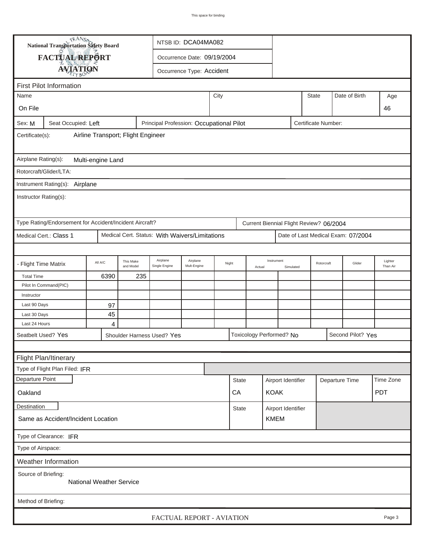| <b>National Transportation Safety Board</b><br>NTSB ID: DCA04MA082                               |                                                         |                   |                        |                                                |                             |      |              |        |                                         |                    |              |                |                                    |                     |
|--------------------------------------------------------------------------------------------------|---------------------------------------------------------|-------------------|------------------------|------------------------------------------------|-----------------------------|------|--------------|--------|-----------------------------------------|--------------------|--------------|----------------|------------------------------------|---------------------|
|                                                                                                  | FACTUAL REPORT                                          |                   |                        |                                                | Occurrence Date: 09/19/2004 |      |              |        |                                         |                    |              |                |                                    |                     |
|                                                                                                  |                                                         |                   |                        |                                                |                             |      |              |        |                                         |                    |              |                |                                    |                     |
|                                                                                                  | <b>AVIATION</b>                                         |                   |                        |                                                | Occurrence Type: Accident   |      |              |        |                                         |                    |              |                |                                    |                     |
|                                                                                                  | <b>First Pilot Information</b>                          |                   |                        |                                                |                             |      |              |        |                                         |                    |              |                |                                    |                     |
| Name                                                                                             |                                                         |                   |                        |                                                |                             | City |              |        |                                         |                    | <b>State</b> |                | Date of Birth                      | Age                 |
| On File                                                                                          |                                                         |                   |                        |                                                |                             |      |              |        |                                         |                    |              |                | 46                                 |                     |
| Principal Profession: Occupational Pilot<br>Seat Occupied: Left<br>Certificate Number:<br>Sex: M |                                                         |                   |                        |                                                |                             |      |              |        |                                         |                    |              |                |                                    |                     |
| Airline Transport; Flight Engineer<br>Certificate(s):                                            |                                                         |                   |                        |                                                |                             |      |              |        |                                         |                    |              |                |                                    |                     |
| Airplane Rating(s):                                                                              |                                                         |                   |                        |                                                |                             |      |              |        |                                         |                    |              |                |                                    |                     |
|                                                                                                  |                                                         | Multi-engine Land |                        |                                                |                             |      |              |        |                                         |                    |              |                |                                    |                     |
|                                                                                                  | Rotorcraft/Glider/LTA:                                  |                   |                        |                                                |                             |      |              |        |                                         |                    |              |                |                                    |                     |
|                                                                                                  | Instrument Rating(s): Airplane                          |                   |                        |                                                |                             |      |              |        |                                         |                    |              |                |                                    |                     |
| Instructor Rating(s):                                                                            |                                                         |                   |                        |                                                |                             |      |              |        |                                         |                    |              |                |                                    |                     |
|                                                                                                  | Type Rating/Endorsement for Accident/Incident Aircraft? |                   |                        |                                                |                             |      |              |        | Current Biennial Flight Review? 06/2004 |                    |              |                |                                    |                     |
|                                                                                                  | Medical Cert.: Class 1                                  |                   |                        | Medical Cert. Status: With Waivers/Limitations |                             |      |              |        |                                         |                    |              |                | Date of Last Medical Exam: 07/2004 |                     |
|                                                                                                  |                                                         |                   |                        |                                                |                             |      |              |        |                                         |                    |              |                |                                    |                     |
| - Flight Time Matrix                                                                             |                                                         | All A/C           | This Make<br>and Model | Airplane<br>Single Engine                      | Airplane<br>Mult-Engine     |      | Night        | Actual | Instrument                              | Simulated          |              | Rotorcraft     | Glider                             | Lighter<br>Than Air |
| <b>Total Time</b>                                                                                |                                                         | 6390              | 235                    |                                                |                             |      |              |        |                                         |                    |              |                |                                    |                     |
|                                                                                                  | Pilot In Command(PIC)                                   |                   |                        |                                                |                             |      |              |        |                                         |                    |              |                |                                    |                     |
| Instructor                                                                                       |                                                         |                   |                        |                                                |                             |      |              |        |                                         |                    |              |                |                                    |                     |
| Last 90 Days                                                                                     |                                                         | 97                |                        |                                                |                             |      |              |        |                                         |                    |              |                |                                    |                     |
| Last 30 Days                                                                                     |                                                         | 45                |                        |                                                |                             |      |              |        |                                         |                    |              |                |                                    |                     |
| Last 24 Hours<br>Seatbelt Used? Yes                                                              |                                                         | 4                 |                        |                                                |                             |      |              |        | Toxicology Performed? No                |                    |              |                | Second Pilot? Yes                  |                     |
|                                                                                                  |                                                         |                   |                        | Shoulder Harness Used? Yes                     |                             |      |              |        |                                         |                    |              |                |                                    |                     |
|                                                                                                  |                                                         |                   |                        |                                                |                             |      |              |        |                                         |                    |              |                |                                    |                     |
|                                                                                                  | Flight Plan/Itinerary                                   |                   |                        |                                                |                             |      |              |        |                                         |                    |              |                |                                    |                     |
| Departure Point                                                                                  | Type of Flight Plan Filed: IFR                          |                   |                        |                                                |                             |      |              |        |                                         |                    |              |                |                                    |                     |
|                                                                                                  |                                                         |                   |                        |                                                |                             |      | <b>State</b> |        |                                         | Airport Identifier |              | Departure Time |                                    | Time Zone           |
| Oakland                                                                                          |                                                         |                   |                        |                                                |                             |      | CA           |        | <b>KOAK</b>                             |                    |              |                |                                    | <b>PDT</b>          |
| Destination                                                                                      |                                                         |                   |                        |                                                |                             |      | <b>State</b> |        |                                         | Airport Identifier |              |                |                                    |                     |
|                                                                                                  | <b>KMEM</b><br>Same as Accident/Incident Location       |                   |                        |                                                |                             |      |              |        |                                         |                    |              |                |                                    |                     |
| Type of Clearance: IFR                                                                           |                                                         |                   |                        |                                                |                             |      |              |        |                                         |                    |              |                |                                    |                     |
| Type of Airspace:                                                                                |                                                         |                   |                        |                                                |                             |      |              |        |                                         |                    |              |                |                                    |                     |
| Weather Information                                                                              |                                                         |                   |                        |                                                |                             |      |              |        |                                         |                    |              |                |                                    |                     |
| Source of Briefing:<br><b>National Weather Service</b>                                           |                                                         |                   |                        |                                                |                             |      |              |        |                                         |                    |              |                |                                    |                     |
| Method of Briefing:                                                                              |                                                         |                   |                        |                                                |                             |      |              |        |                                         |                    |              |                |                                    |                     |
| FACTUAL REPORT - AVIATION<br>Page 3                                                              |                                                         |                   |                        |                                                |                             |      |              |        |                                         |                    |              |                |                                    |                     |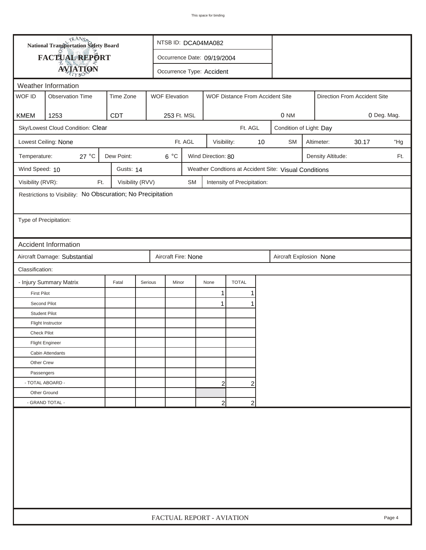| <b>National Transportation Safety Board</b> |                                                              | NTSB ID: DCA04MA082         |                           |           |                    |                                 |    |                                                       |  |                              |             |     |
|---------------------------------------------|--------------------------------------------------------------|-----------------------------|---------------------------|-----------|--------------------|---------------------------------|----|-------------------------------------------------------|--|------------------------------|-------------|-----|
| FACTUAL REPORT                              |                                                              | Occurrence Date: 09/19/2004 |                           |           |                    |                                 |    |                                                       |  |                              |             |     |
|                                             | <b>AVIATION</b>                                              |                             | Occurrence Type: Accident |           |                    |                                 |    |                                                       |  |                              |             |     |
|                                             | Weather Information                                          |                             |                           |           |                    |                                 |    |                                                       |  |                              |             |     |
| WOF ID                                      | <b>Observation Time</b>                                      | Time Zone                   | <b>WOF Elevation</b>      |           |                    | WOF Distance From Accident Site |    |                                                       |  | Direction From Accident Site |             |     |
|                                             |                                                              |                             |                           |           |                    |                                 |    |                                                       |  |                              |             |     |
| <b>KMEM</b>                                 | 1253                                                         | <b>CDT</b>                  | 253 Ft. MSL               |           |                    |                                 |    | 0 NM                                                  |  |                              | 0 Deg. Mag. |     |
|                                             | Sky/Lowest Cloud Condition: Clear                            |                             |                           |           |                    | Ft. AGL                         |    | Condition of Light: Day                               |  |                              |             |     |
|                                             | Lowest Ceiling: None                                         |                             |                           | Ft. AGL   | Visibility:        |                                 | 10 | <b>SM</b>                                             |  | Altimeter:                   | 30.17       | "Hg |
| Temperature:                                | 27 °C                                                        | Dew Point:                  | $6^{\circ}$ C             |           | Wind Direction: 80 |                                 |    |                                                       |  | Density Altitude:            |             | Ft. |
| Wind Speed: 10                              |                                                              | Gusts: 14                   |                           |           |                    |                                 |    | Weather Condtions at Accident Site: Visual Conditions |  |                              |             |     |
| Visibility (RVR):                           | Ft.                                                          | Visibility (RVV)            |                           | <b>SM</b> |                    | Intensity of Precipitation:     |    |                                                       |  |                              |             |     |
|                                             | Restrictions to Visibility: No Obscuration; No Precipitation |                             |                           |           |                    |                                 |    |                                                       |  |                              |             |     |
|                                             |                                                              |                             |                           |           |                    |                                 |    |                                                       |  |                              |             |     |
| Type of Precipitation:                      |                                                              |                             |                           |           |                    |                                 |    |                                                       |  |                              |             |     |
|                                             |                                                              |                             |                           |           |                    |                                 |    |                                                       |  |                              |             |     |
|                                             | Accident Information                                         |                             |                           |           |                    |                                 |    |                                                       |  |                              |             |     |
|                                             | Aircraft Damage: Substantial                                 |                             | Aircraft Fire: None       |           |                    |                                 |    | Aircraft Explosion None                               |  |                              |             |     |
| Classification:                             |                                                              |                             |                           |           |                    |                                 |    |                                                       |  |                              |             |     |
|                                             | - Injury Summary Matrix                                      | Fatal                       | Minor<br>Serious          |           | None               | <b>TOTAL</b>                    |    |                                                       |  |                              |             |     |
| <b>First Pilot</b>                          |                                                              |                             |                           |           | $\mathbf{1}$       | 1                               |    |                                                       |  |                              |             |     |
| Second Pilot                                |                                                              |                             |                           |           | 1                  |                                 |    |                                                       |  |                              |             |     |
| <b>Student Pilot</b>                        |                                                              |                             |                           |           |                    |                                 |    |                                                       |  |                              |             |     |
|                                             | Flight Instructor                                            |                             |                           |           |                    |                                 |    |                                                       |  |                              |             |     |
| <b>Check Pilot</b>                          |                                                              |                             |                           |           |                    |                                 |    |                                                       |  |                              |             |     |
|                                             | <b>Flight Engineer</b>                                       |                             |                           |           |                    |                                 |    |                                                       |  |                              |             |     |
|                                             | Cabin Attendants                                             |                             |                           |           |                    |                                 |    |                                                       |  |                              |             |     |
| Other Crew                                  |                                                              |                             |                           |           |                    |                                 |    |                                                       |  |                              |             |     |
| Passengers                                  |                                                              |                             |                           |           |                    |                                 |    |                                                       |  |                              |             |     |
|                                             | - TOTAL ABOARD -                                             |                             |                           |           | 2                  | 2                               |    |                                                       |  |                              |             |     |
| Other Ground                                |                                                              |                             |                           |           |                    |                                 |    |                                                       |  |                              |             |     |
|                                             | - GRAND TOTAL -<br>$\overline{2}$<br>$\overline{2}$          |                             |                           |           |                    |                                 |    |                                                       |  |                              |             |     |
|                                             |                                                              |                             |                           |           |                    |                                 |    |                                                       |  |                              |             |     |
|                                             | FACTUAL REPORT - AVIATION<br>Page 4                          |                             |                           |           |                    |                                 |    |                                                       |  |                              |             |     |